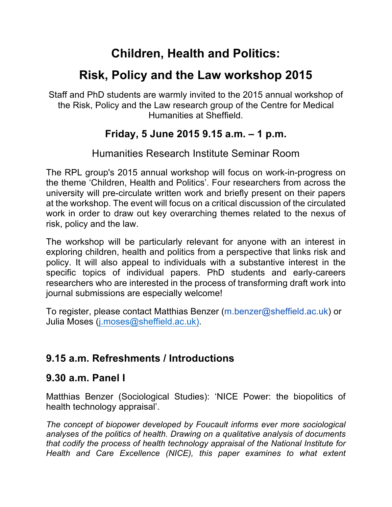# **Children, Health and Politics:**

# **Risk, Policy and the Law workshop 2015**

Staff and PhD students are warmly invited to the 2015 annual workshop of the Risk, Policy and the Law research group of the Centre for Medical Humanities at Sheffield.

## **Friday, 5 June 2015 9.15 a.m. – 1 p.m.**

### Humanities Research Institute Seminar Room

The RPL group's 2015 annual workshop will focus on work-in-progress on the theme 'Children, Health and Politics'. Four researchers from across the university will pre-circulate written work and briefly present on their papers at the workshop. The event will focus on a critical discussion of the circulated work in order to draw out key overarching themes related to the nexus of risk, policy and the law.

The workshop will be particularly relevant for anyone with an interest in exploring children, health and politics from a perspective that links risk and policy. It will also appeal to individuals with a substantive interest in the specific topics of individual papers. PhD students and early-careers researchers who are interested in the process of transforming draft work into journal submissions are especially welcome!

To register, please contact Matthias Benzer (m.benzer@sheffield.ac.uk) or Julia Moses (j.moses@sheffield.ac.uk).

## **9.15 a.m. Refreshments / Introductions**

## **9.30 a.m. Panel I**

Matthias Benzer (Sociological Studies): 'NICE Power: the biopolitics of health technology appraisal'.

*The concept of biopower developed by Foucault informs ever more sociological analyses of the politics of health. Drawing on a qualitative analysis of documents that codify the process of health technology appraisal of the National Institute for Health and Care Excellence (NICE), this paper examines to what extent*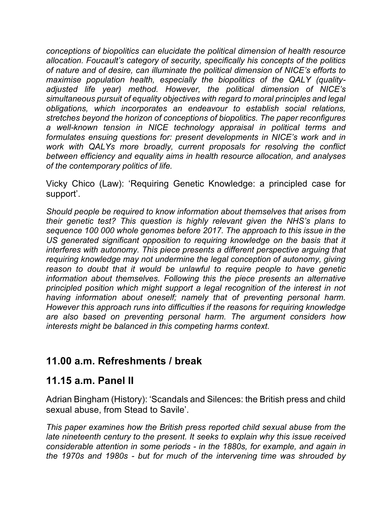*conceptions of biopolitics can elucidate the political dimension of health resource allocation. Foucault's category of security, specifically his concepts of the politics of nature and of desire, can illuminate the political dimension of NICE's efforts to maximise population health, especially the biopolitics of the QALY (qualityadjusted life year) method. However, the political dimension of NICE's simultaneous pursuit of equality objectives with regard to moral principles and legal obligations, which incorporates an endeavour to establish social relations, stretches beyond the horizon of conceptions of biopolitics. The paper reconfigures a well-known tension in NICE technology appraisal in political terms and formulates ensuing questions for: present developments in NICE's work and in work with QALYs more broadly, current proposals for resolving the conflict between efficiency and equality aims in health resource allocation, and analyses of the contemporary politics of life.* 

Vicky Chico (Law): 'Requiring Genetic Knowledge: a principled case for support'.

*Should people be required to know information about themselves that arises from their genetic test? This question is highly relevant given the NHS's plans to sequence 100 000 whole genomes before 2017. The approach to this issue in the*  US generated significant opposition to requiring knowledge on the basis that it *interferes with autonomy. This piece presents a different perspective arguing that requiring knowledge may not undermine the legal conception of autonomy, giving reason to doubt that it would be unlawful to require people to have genetic information about themselves. Following this the piece presents an alternative principled position which might support a legal recognition of the interest in not having information about oneself; namely that of preventing personal harm. However this approach runs into difficulties if the reasons for requiring knowledge are also based on preventing personal harm. The argument considers how interests might be balanced in this competing harms context*.

#### **11.00 a.m. Refreshments / break**

#### **11.15 a.m. Panel II**

Adrian Bingham (History): 'Scandals and Silences: the British press and child sexual abuse, from Stead to Savile'.

*This paper examines how the British press reported child sexual abuse from the late nineteenth century to the present. It seeks to explain why this issue received considerable attention in some periods - in the 1880s, for example, and again in the 1970s and 1980s - but for much of the intervening time was shrouded by*